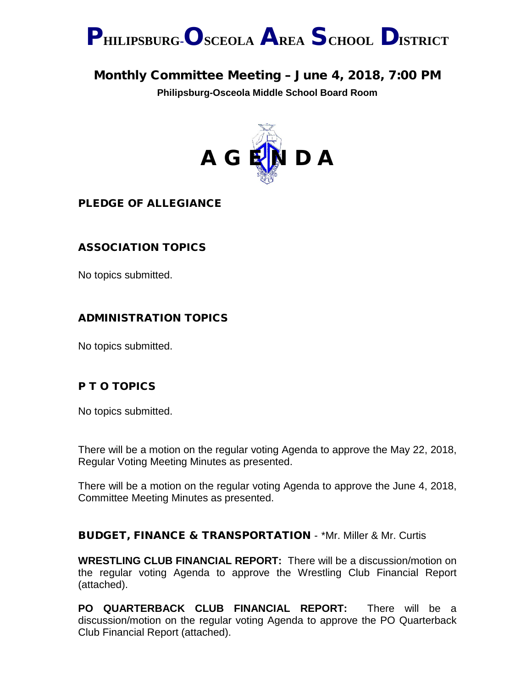

# Monthly Committee Meeting – June 4, 2018, 7:00 PM

**Philipsburg-Osceola Middle School Board Room**



PLEDGE OF ALLEGIANCE

## ASSOCIATION TOPICS

No topics submitted.

#### ADMINISTRATION TOPICS

No topics submitted.

### P T O TOPICS

No topics submitted.

There will be a motion on the regular voting Agenda to approve the May 22, 2018, Regular Voting Meeting Minutes as presented.

There will be a motion on the regular voting Agenda to approve the June 4, 2018, Committee Meeting Minutes as presented.

#### BUDGET, FINANCE & TRANSPORTATION - \*Mr. Miller & Mr. Curtis

**WRESTLING CLUB FINANCIAL REPORT:** There will be a discussion/motion on the regular voting Agenda to approve the Wrestling Club Financial Report (attached).

**PO QUARTERBACK CLUB FINANCIAL REPORT:** There will be a discussion/motion on the regular voting Agenda to approve the PO Quarterback Club Financial Report (attached).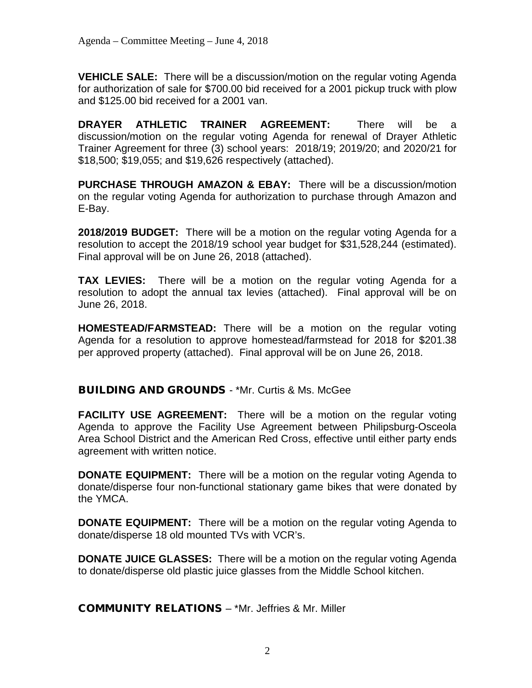**VEHICLE SALE:** There will be a discussion/motion on the regular voting Agenda for authorization of sale for \$700.00 bid received for a 2001 pickup truck with plow and \$125.00 bid received for a 2001 van.

**DRAYER ATHLETIC TRAINER AGREEMENT:** There will be a discussion/motion on the regular voting Agenda for renewal of Drayer Athletic Trainer Agreement for three (3) school years: 2018/19; 2019/20; and 2020/21 for \$18,500; \$19,055; and \$19,626 respectively (attached).

**PURCHASE THROUGH AMAZON & EBAY:** There will be a discussion/motion on the regular voting Agenda for authorization to purchase through Amazon and E-Bay.

**2018/2019 BUDGET:** There will be a motion on the regular voting Agenda for a resolution to accept the 2018/19 school year budget for \$31,528,244 (estimated). Final approval will be on June 26, 2018 (attached).

**TAX LEVIES:** There will be a motion on the regular voting Agenda for a resolution to adopt the annual tax levies (attached). Final approval will be on June 26, 2018.

**HOMESTEAD/FARMSTEAD:** There will be a motion on the regular voting Agenda for a resolution to approve homestead/farmstead for 2018 for \$201.38 per approved property (attached). Final approval will be on June 26, 2018.

BUILDING AND GROUNDS - \*Mr. Curtis & Ms. McGee

**FACILITY USE AGREEMENT:** There will be a motion on the regular voting Agenda to approve the Facility Use Agreement between Philipsburg-Osceola Area School District and the American Red Cross, effective until either party ends agreement with written notice.

**DONATE EQUIPMENT:** There will be a motion on the regular voting Agenda to donate/disperse four non-functional stationary game bikes that were donated by the YMCA.

**DONATE EQUIPMENT:** There will be a motion on the regular voting Agenda to donate/disperse 18 old mounted TVs with VCR's.

**DONATE JUICE GLASSES:** There will be a motion on the regular voting Agenda to donate/disperse old plastic juice glasses from the Middle School kitchen.

COMMUNITY RELATIONS – \*Mr. Jeffries & Mr. Miller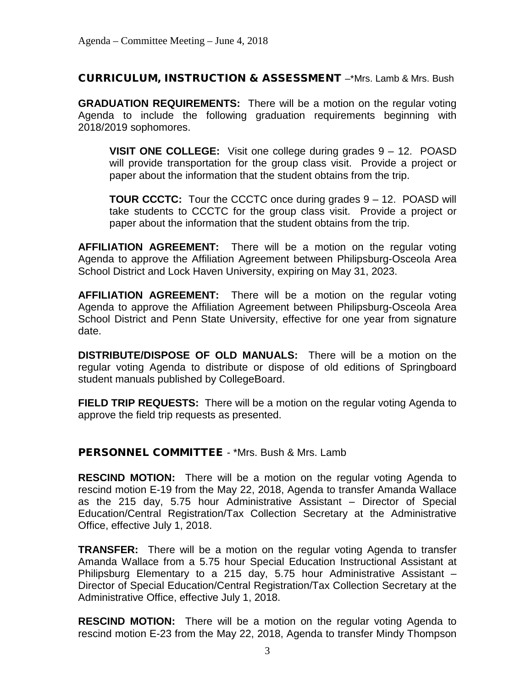CURRICULUM, INSTRUCTION & ASSESSMENT –\*Mrs. Lamb & Mrs. Bush

**GRADUATION REQUIREMENTS:** There will be a motion on the regular voting Agenda to include the following graduation requirements beginning with 2018/2019 sophomores.

**VISIT ONE COLLEGE:** Visit one college during grades 9 – 12. POASD will provide transportation for the group class visit. Provide a project or paper about the information that the student obtains from the trip.

**TOUR CCCTC:** Tour the CCCTC once during grades 9 – 12. POASD will take students to CCCTC for the group class visit. Provide a project or paper about the information that the student obtains from the trip.

**AFFILIATION AGREEMENT:** There will be a motion on the regular voting Agenda to approve the Affiliation Agreement between Philipsburg-Osceola Area School District and Lock Haven University, expiring on May 31, 2023.

**AFFILIATION AGREEMENT:** There will be a motion on the regular voting Agenda to approve the Affiliation Agreement between Philipsburg-Osceola Area School District and Penn State University, effective for one year from signature date.

**DISTRIBUTE/DISPOSE OF OLD MANUALS:** There will be a motion on the regular voting Agenda to distribute or dispose of old editions of Springboard student manuals published by CollegeBoard.

**FIELD TRIP REQUESTS:** There will be a motion on the regular voting Agenda to approve the field trip requests as presented.

PERSONNEL COMMITTEE - \*Mrs. Bush & Mrs. Lamb

**RESCIND MOTION:** There will be a motion on the regular voting Agenda to rescind motion E-19 from the May 22, 2018, Agenda to transfer Amanda Wallace as the 215 day, 5.75 hour Administrative Assistant – Director of Special Education/Central Registration/Tax Collection Secretary at the Administrative Office, effective July 1, 2018.

**TRANSFER:** There will be a motion on the regular voting Agenda to transfer Amanda Wallace from a 5.75 hour Special Education Instructional Assistant at Philipsburg Elementary to a 215 day, 5.75 hour Administrative Assistant – Director of Special Education/Central Registration/Tax Collection Secretary at the Administrative Office, effective July 1, 2018.

**RESCIND MOTION:** There will be a motion on the regular voting Agenda to rescind motion E-23 from the May 22, 2018, Agenda to transfer Mindy Thompson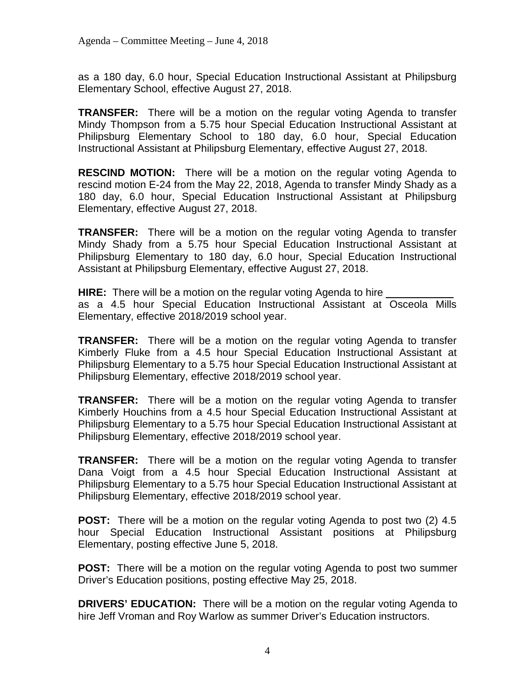as a 180 day, 6.0 hour, Special Education Instructional Assistant at Philipsburg Elementary School, effective August 27, 2018.

**TRANSFER:** There will be a motion on the regular voting Agenda to transfer Mindy Thompson from a 5.75 hour Special Education Instructional Assistant at Philipsburg Elementary School to 180 day, 6.0 hour, Special Education Instructional Assistant at Philipsburg Elementary, effective August 27, 2018.

**RESCIND MOTION:** There will be a motion on the regular voting Agenda to rescind motion E-24 from the May 22, 2018, Agenda to transfer Mindy Shady as a 180 day, 6.0 hour, Special Education Instructional Assistant at Philipsburg Elementary, effective August 27, 2018.

**TRANSFER:** There will be a motion on the regular voting Agenda to transfer Mindy Shady from a 5.75 hour Special Education Instructional Assistant at Philipsburg Elementary to 180 day, 6.0 hour, Special Education Instructional Assistant at Philipsburg Elementary, effective August 27, 2018.

**HIRE:** There will be a motion on the regular voting Agenda to hire as a 4.5 hour Special Education Instructional Assistant at Osceola Mills Elementary, effective 2018/2019 school year.

**TRANSFER:** There will be a motion on the regular voting Agenda to transfer Kimberly Fluke from a 4.5 hour Special Education Instructional Assistant at Philipsburg Elementary to a 5.75 hour Special Education Instructional Assistant at Philipsburg Elementary, effective 2018/2019 school year.

**TRANSFER:** There will be a motion on the regular voting Agenda to transfer Kimberly Houchins from a 4.5 hour Special Education Instructional Assistant at Philipsburg Elementary to a 5.75 hour Special Education Instructional Assistant at Philipsburg Elementary, effective 2018/2019 school year.

**TRANSFER:** There will be a motion on the regular voting Agenda to transfer Dana Voigt from a 4.5 hour Special Education Instructional Assistant at Philipsburg Elementary to a 5.75 hour Special Education Instructional Assistant at Philipsburg Elementary, effective 2018/2019 school year.

**POST:** There will be a motion on the regular voting Agenda to post two (2) 4.5 hour Special Education Instructional Assistant positions at Philipsburg Elementary, posting effective June 5, 2018.

**POST:** There will be a motion on the regular voting Agenda to post two summer Driver's Education positions, posting effective May 25, 2018.

**DRIVERS' EDUCATION:** There will be a motion on the regular voting Agenda to hire Jeff Vroman and Roy Warlow as summer Driver's Education instructors.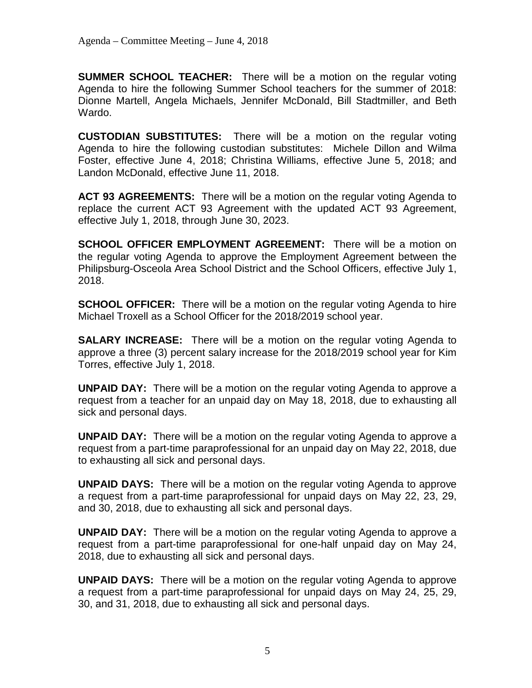**SUMMER SCHOOL TEACHER:** There will be a motion on the regular voting Agenda to hire the following Summer School teachers for the summer of 2018: Dionne Martell, Angela Michaels, Jennifer McDonald, Bill Stadtmiller, and Beth Wardo.

**CUSTODIAN SUBSTITUTES:** There will be a motion on the regular voting Agenda to hire the following custodian substitutes: Michele Dillon and Wilma Foster, effective June 4, 2018; Christina Williams, effective June 5, 2018; and Landon McDonald, effective June 11, 2018.

**ACT 93 AGREEMENTS:** There will be a motion on the regular voting Agenda to replace the current ACT 93 Agreement with the updated ACT 93 Agreement, effective July 1, 2018, through June 30, 2023.

**SCHOOL OFFICER EMPLOYMENT AGREEMENT:** There will be a motion on the regular voting Agenda to approve the Employment Agreement between the Philipsburg-Osceola Area School District and the School Officers, effective July 1, 2018.

**SCHOOL OFFICER:** There will be a motion on the regular voting Agenda to hire Michael Troxell as a School Officer for the 2018/2019 school year.

**SALARY INCREASE:** There will be a motion on the regular voting Agenda to approve a three (3) percent salary increase for the 2018/2019 school year for Kim Torres, effective July 1, 2018.

**UNPAID DAY:** There will be a motion on the regular voting Agenda to approve a request from a teacher for an unpaid day on May 18, 2018, due to exhausting all sick and personal days.

**UNPAID DAY:** There will be a motion on the regular voting Agenda to approve a request from a part-time paraprofessional for an unpaid day on May 22, 2018, due to exhausting all sick and personal days.

**UNPAID DAYS:** There will be a motion on the regular voting Agenda to approve a request from a part-time paraprofessional for unpaid days on May 22, 23, 29, and 30, 2018, due to exhausting all sick and personal days.

**UNPAID DAY:** There will be a motion on the regular voting Agenda to approve a request from a part-time paraprofessional for one-half unpaid day on May 24, 2018, due to exhausting all sick and personal days.

**UNPAID DAYS:** There will be a motion on the regular voting Agenda to approve a request from a part-time paraprofessional for unpaid days on May 24, 25, 29, 30, and 31, 2018, due to exhausting all sick and personal days.